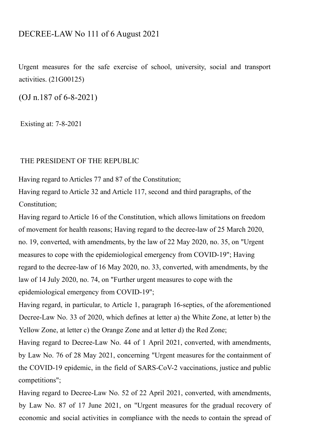# DECREE-LAW No 111 of 6 August 2021

Urgent measures for the safe exercise of school, university, social and transport activities. (21G00125)

(OJ n.187 of 6-8-2021)

Existing at: 7-8-2021

## THE PRESIDENT OF THE REPUBLIC

Having regard to Articles 77 and 87 of the Constitution;

Having regard to Article 32 and Article 117, second and third paragraphs, of the Constitution;

Having regard to Article 16 of the Constitution, which allows limitations on freedom of movement for health reasons; Having regard to the decree-law of 25 March 2020, no. 19, converted, with amendments, by the law of 22 May 2020, no. 35, on "Urgent measures to cope with the epidemiological emergency from COVID-19"; Having regard to the decree-law of 16 May 2020, no. 33, converted, with amendments, by the law of 14 July 2020, no. 74, on "Further urgent measures to cope with the epidemiological emergency from COVID-19";

Having regard, in particular, to Article 1, paragraph 16-septies, of the aforementioned Decree-Law No. 33 of 2020, which defines at letter a) the White Zone, at letter b) the Yellow Zone, at letter c) the Orange Zone and at letter d) the Red Zone;

Having regard to Decree-Law No. 44 of 1 April 2021, converted, with amendments, by Law No. 76 of 28 May 2021, concerning "Urgent measures for the containment of the COVID-19 epidemic, in the field of SARS-CoV-2 vaccinations, justice and public competitions";

Having regard to Decree-Law No. 52 of 22 April 2021, converted, with amendments, by Law No. 87 of 17 June 2021, on "Urgent measures for the gradual recovery of economic and social activities in compliance with the needs to contain the spread of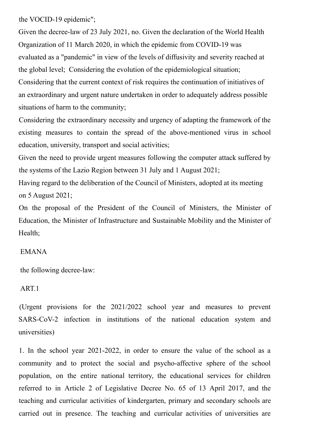the VOCID-19 epidemic";

Given the decree-law of 23 July 2021, no. Given the declaration of the World Health Organization of 11 March 2020, in which the epidemic from COVID-19 was evaluated as a "pandemic" in view of the levels of diffusivity and severity reached at the global level; Considering the evolution of the epidemiological situation; Considering that the current context of risk requires the continuation of initiatives of an extraordinary and urgent nature undertaken in order to adequately address possible situations of harm to the community;

Considering the extraordinary necessity and urgency of adapting the framework of the existing measures to contain the spread of the above-mentioned virus in school education, university, transport and social activities;

Given the need to provide urgent measures following the computer attack suffered by the systems of the Lazio Region between 31 July and 1 August 2021;

Having regard to the deliberation of the Council of Ministers, adopted at its meeting on 5 August 2021;

On the proposal of the President of the Council of Ministers, the Minister of Education, the Minister of Infrastructure and Sustainable Mobility and the Minister of Health;

## EMANA

the following decree-law:

## ART.1

(Urgent provisions for the 2021/2022 school year and measures to prevent SARS-CoV-2 infection in institutions of the national education system and universities)

1. In the school year 2021-2022, in order to ensure the value of the school as a community and to protect the social and psycho-affective sphere of the school population, on the entire national territory, the educational services for children referred to in Article 2 of Legislative Decree No. 65 of 13 April 2017, and the teaching and curricular activities of kindergarten, primary and secondary schools are carried out in presence. The teaching and curricular activities of universities are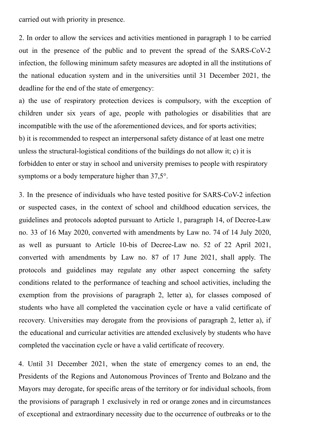carried out with priority in presence.

2. In order to allow the services and activities mentioned in paragraph 1 to be carried out in the presence of the public and to prevent the spread of the SARS-CoV-2 infection, the following minimum safety measures are adopted in all the institutions of the national education system and in the universities until 31 December 2021, the deadline for the end of the state of emergency:

a) the use of respiratory protection devices is compulsory, with the exception of children under six years of age, people with pathologies or disabilities that are incompatible with the use of the aforementioned devices, and for sports activities; b) it is recommended to respect an interpersonal safety distance of at least one metre unless the structural-logistical conditions of the buildings do not allow it; c) it is forbidden to enter or stay in school and university premises to people with respiratory symptoms or a body temperature higher than 37,5°.

3. In the presence of individuals who have tested positive for SARS-CoV-2 infection or suspected cases, in the context of school and childhood education services, the guidelines and protocols adopted pursuant to Article 1, paragraph 14, of Decree-Law no. 33 of 16 May 2020, converted with amendments by Law no. 74 of 14 July 2020, as well as pursuant to Article 10-bis of Decree-Law no. 52 of 22 April 2021, converted with amendments by Law no. 87 of 17 June 2021, shall apply. The protocols and guidelines may regulate any other aspect concerning the safety conditions related to the performance of teaching and school activities, including the exemption from the provisions of paragraph 2, letter a), for classes composed of students who have all completed the vaccination cycle or have a valid certificate of recovery. Universities may derogate from the provisions of paragraph 2, letter a), if the educational and curricular activities are attended exclusively by students who have completed the vaccination cycle or have a valid certificate of recovery.

4. Until 31 December 2021, when the state of emergency comes to an end, the Presidents of the Regions and Autonomous Provinces of Trento and Bolzano and the Mayors may derogate, for specific areas of the territory or for individual schools, from the provisions of paragraph 1 exclusively in red or orange zones and in circumstances of exceptional and extraordinary necessity due to the occurrence of outbreaks or to the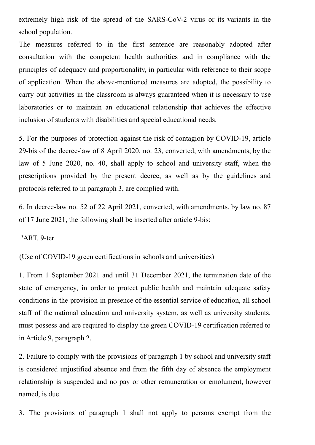extremely high risk of the spread of the SARS-CoV-2 virus or its variants in the school population.

The measures referred to in the first sentence are reasonably adopted after consultation with the competent health authorities and in compliance with the principles of adequacy and proportionality, in particular with reference to their scope of application. When the above-mentioned measures are adopted, the possibility to carry out activities in the classroom is always guaranteed when it is necessary to use laboratories or to maintain an educational relationship that achieves the effective inclusion of students with disabilities and special educational needs.

5. For the purposes of protection against the risk of contagion by COVID-19, article 29-bis of the decree-law of 8 April 2020, no. 23, converted, with amendments, by the law of 5 June 2020, no. 40, shall apply to school and university staff, when the prescriptions provided by the present decree, as well as by the guidelines and protocols referred to in paragraph 3, are complied with.

6. In decree-law no. 52 of 22 April 2021, converted, with amendments, by law no. 87 of 17 June 2021, the following shall be inserted after article 9-bis:

"ART. 9-ter

(Use of COVID-19 green certifications in schools and universities)

1. From 1 September 2021 and until 31 December 2021, the termination date of the state of emergency, in order to protect public health and maintain adequate safety conditions in the provision in presence of the essential service of education, all school staff of the national education and university system, as well as university students, must possess and are required to display the green COVID-19 certification referred to in Article 9, paragraph 2.

2. Failure to comply with the provisions of paragraph 1 by school and university staff is considered unjustified absence and from the fifth day of absence the employment relationship is suspended and no pay or other remuneration or emolument, however named, is due.

3. The provisions of paragraph 1 shall not apply to persons exempt from the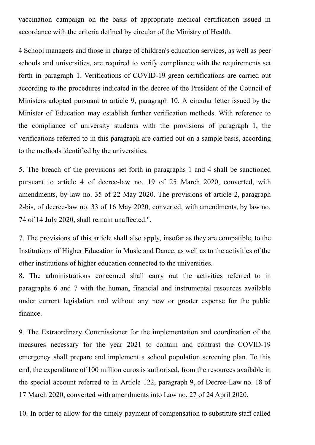vaccination campaign on the basis of appropriate medical certification issued in accordance with the criteria defined by circular of the Ministry of Health.

4 School managers and those in charge of children's education services, as well as peer schools and universities, are required to verify compliance with the requirements set forth in paragraph 1. Verifications of COVID-19 green certifications are carried out according to the procedures indicated in the decree of the President of the Council of Ministers adopted pursuant to article 9, paragraph 10. A circular letter issued by the Minister of Education may establish further verification methods. With reference to the compliance of university students with the provisions of paragraph 1, the verifications referred to in this paragraph are carried out on a sample basis, according to the methods identified by the universities.

5. The breach of the provisions set forth in paragraphs 1 and 4 shall be sanctioned pursuant to article 4 of decree-law no. 19 of 25 March 2020, converted, with amendments, by law no. 35 of 22 May 2020. The provisions of article 2, paragraph 2-bis, of decree-law no. 33 of 16 May 2020, converted, with amendments, by law no. 74 of 14 July 2020, shall remain unaffected.".

7. The provisions of this article shall also apply, insofar as they are compatible, to the Institutions of Higher Education in Music and Dance, as well as to the activities of the other institutions of higher education connected to the universities.

8. The administrations concerned shall carry out the activities referred to in paragraphs 6 and 7 with the human, financial and instrumental resources available under current legislation and without any new or greater expense for the public finance.

9. The Extraordinary Commissioner for the implementation and coordination of the measures necessary for the year 2021 to contain and contrast the COVID-19 emergency shall prepare and implement a school population screening plan. To this end, the expenditure of 100 million euros is authorised, from the resources available in the special account referred to in Article 122, paragraph 9, of Decree-Law no. 18 of 17 March 2020, converted with amendments into Law no. 27 of 24 April 2020.

10. In order to allow for the timely payment of compensation to substitute staff called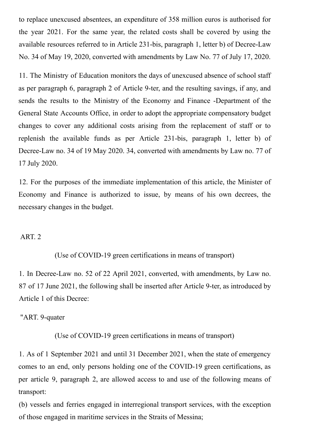to replace unexcused absentees, an expenditure of 358 million euros is authorised for the year 2021. For the same year, the related costs shall be covered by using the available resources referred to in Article 231-bis, paragraph 1, letter b) of Decree-Law No. 34 of May 19, 2020, converted with amendments by Law No. 77 of July 17, 2020.

11. The Ministry of Education monitors the days of unexcused absence of school staff as per paragraph 6, paragraph 2 of Article 9-ter, and the resulting savings, if any, and sends the results to the Ministry of the Economy and Finance -Department of the General State Accounts Office, in order to adopt the appropriate compensatory budget changes to cover any additional costs arising from the replacement of staff or to replenish the available funds as per Article 231-bis, paragraph 1, letter b) of Decree-Law no. 34 of 19 May 2020. 34, converted with amendments by Law no. 77 of 17 July 2020.

12. For the purposes of the immediate implementation of this article, the Minister of Economy and Finance is authorized to issue, by means of his own decrees, the necessary changes in the budget.

#### ART. 2

(Use of COVID-19 green certifications in means of transport)

1. In Decree-Law no. 52 of 22 April 2021, converted, with amendments, by Law no. 87 of 17 June 2021, the following shall be inserted after Article 9-ter, as introduced by Article 1 of this Decree:

"ART. 9-quater

(Use of COVID-19 green certifications in means of transport)

1. As of 1 September 2021 and until 31 December 2021, when the state of emergency comes to an end, only persons holding one of the COVID-19 green certifications, as per article 9, paragraph 2, are allowed access to and use of the following means of transport:

(b) vessels and ferries engaged in interregional transport services, with the exception of those engaged in maritime services in the Straits of Messina;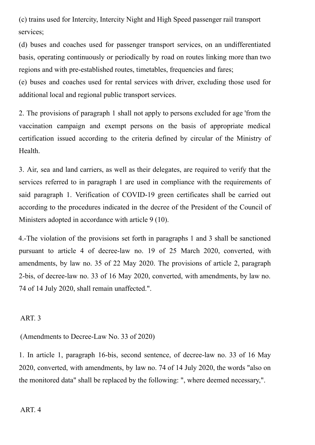(c) trains used for Intercity, Intercity Night and High Speed passenger rail transport services:

(d) buses and coaches used for passenger transport services, on an undifferentiated basis, operating continuously or periodically by road on routes linking more than two regions and with pre-established routes, timetables, frequencies and fares;

(e) buses and coaches used for rental services with driver, excluding those used for additional local and regional public transport services.

2. The provisions of paragraph 1 shall not apply to persons excluded for age 'from the vaccination campaign and exempt persons on the basis of appropriate medical certification issued according to the criteria defined by circular of the Ministry of Health.

3. Air, sea and land carriers, as well as their delegates, are required to verify that the services referred to in paragraph 1 are used in compliance with the requirements of said paragraph 1. Verification of COVID-19 green certificates shall be carried out according to the procedures indicated in the decree of the President of the Council of Ministers adopted in accordance with article 9 (10).

4.-The violation of the provisions set forth in paragraphs 1 and 3 shall be sanctioned pursuant to article 4 of decree-law no. 19 of 25 March 2020, converted, with amendments, by law no. 35 of 22 May 2020. The provisions of article 2, paragraph 2-bis, of decree-law no. 33 of 16 May 2020, converted, with amendments, by law no. 74 of 14 July 2020, shall remain unaffected.".

## ART. 3

(Amendments to Decree-Law No. 33 of 2020)

1. In article 1, paragraph 16-bis, second sentence, of decree-law no. 33 of 16 May 2020, converted, with amendments, by law no. 74 of 14 July 2020, the words "also on the monitored data" shall be replaced by the following: ", where deemed necessary,".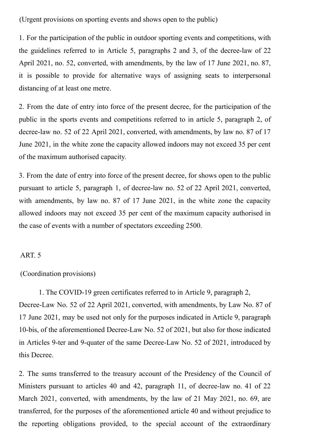(Urgent provisions on sporting events and shows open to the public)

1. For the participation of the public in outdoor sporting events and competitions, with the guidelines referred to in Article 5, paragraphs 2 and 3, of the decree-law of 22 April 2021, no. 52, converted, with amendments, by the law of 17 June 2021, no. 87, it is possible to provide for alternative ways of assigning seats to interpersonal distancing of at least one metre.

2. From the date of entry into force of the present decree, for the participation of the public in the sports events and competitions referred to in article 5, paragraph 2, of decree-law no. 52 of 22 April 2021, converted, with amendments, by law no. 87 of 17 June 2021, in the white zone the capacity allowed indoors may not exceed 35 per cent of the maximum authorised capacity.

3. From the date of entry into force of the present decree, for shows open to the public pursuant to article 5, paragraph 1, of decree-law no. 52 of 22 April 2021, converted, with amendments, by law no. 87 of 17 June 2021, in the white zone the capacity allowed indoors may not exceed 35 per cent of the maximum capacity authorised in the case of events with a number of spectators exceeding 2500.

#### ART. 5

#### (Coordination provisions)

1. The COVID-19 green certificates referred to in Article 9, paragraph 2, Decree-Law No. 52 of 22 April 2021, converted, with amendments, by Law No. 87 of 17 June 2021, may be used not only for the purposes indicated in Article 9, paragraph 10-bis, of the aforementioned Decree-Law No. 52 of 2021, but also for those indicated in Articles 9-ter and 9-quater of the same Decree-Law No. 52 of 2021, introduced by this Decree.

2. The sums transferred to the treasury account of the Presidency of the Council of Ministers pursuant to articles 40 and 42, paragraph 11, of decree-law no. 41 of 22 March 2021, converted, with amendments, by the law of 21 May 2021, no. 69, are transferred, for the purposes of the aforementioned article 40 and without prejudice to the reporting obligations provided, to the special account of the extraordinary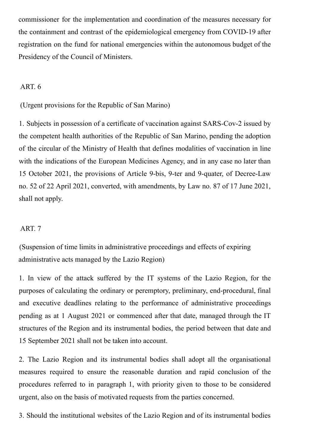commissioner for the implementation and coordination of the measures necessary for the containment and contrast of the epidemiological emergency from COVID-19 after registration on the fund for national emergencies within the autonomous budget of the Presidency of the Council of Ministers.

### ART. 6

(Urgent provisions for the Republic of San Marino)

1. Subjects in possession of a certificate of vaccination against SARS-Cov-2 issued by the competent health authorities of the Republic of San Marino, pending the adoption of the circular of the Ministry of Health that defines modalities of vaccination in line with the indications of the European Medicines Agency, and in any case no later than 15 October 2021, the provisions of Article 9-bis, 9-ter and 9-quater, of Decree-Law no. 52 of 22 April 2021, converted, with amendments, by Law no. 87 of 17 June 2021, shall not apply.

#### ART. 7

(Suspension of time limits in administrative proceedings and effects of expiring administrative acts managed by the Lazio Region)

1. In view of the attack suffered by the IT systems of the Lazio Region, for the purposes of calculating the ordinary or peremptory, preliminary, end-procedural, final and executive deadlines relating to the performance of administrative proceedings pending as at 1 August 2021 or commenced after that date, managed through the IT structures of the Region and its instrumental bodies, the period between that date and 15 September 2021 shall not be taken into account.

2. The Lazio Region and its instrumental bodies shall adopt all the organisational measures required to ensure the reasonable duration and rapid conclusion of the procedures referred to in paragraph 1, with priority given to those to be considered urgent, also on the basis of motivated requests from the parties concerned.

3. Should the institutional websites of the Lazio Region and of its instrumental bodies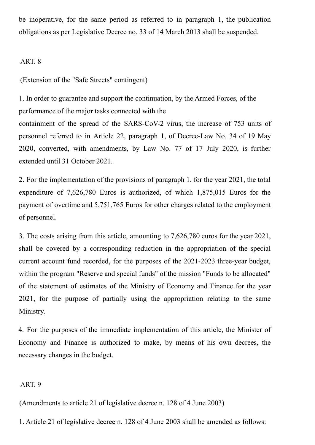be inoperative, for the same period as referred to in paragraph 1, the publication obligations as per Legislative Decree no. 33 of 14 March 2013 shall be suspended.

ART. 8

(Extension of the "Safe Streets" contingent)

1. In order to guarantee and support the continuation, by the Armed Forces, of the performance of the major tasks connected with the containment of the spread of the SARS-CoV-2 virus, the increase of 753 units of personnel referred to in Article 22, paragraph 1, of Decree-Law No. 34 of 19 May 2020, converted, with amendments, by Law No. 77 of 17 July 2020, is further extended until 31 October 2021.

2. For the implementation of the provisions of paragraph 1, for the year 2021, the total expenditure of 7,626,780 Euros is authorized, of which 1,875,015 Euros for the payment of overtime and 5,751,765 Euros for other charges related to the employment of personnel.

3. The costs arising from this article, amounting to 7,626,780 euros for the year 2021, shall be covered by a corresponding reduction in the appropriation of the special current account fund recorded, for the purposes of the 2021-2023 three-year budget, within the program "Reserve and special funds" of the mission "Funds to be allocated" of the statement of estimates of the Ministry of Economy and Finance for the year 2021, for the purpose of partially using the appropriation relating to the same Ministry.

4. For the purposes of the immediate implementation of this article, the Minister of Economy and Finance is authorized to make, by means of his own decrees, the necessary changes in the budget.

#### ART. 9

(Amendments to article 21 of legislative decree n. 128 of 4 June 2003)

1. Article 21 of legislative decree n. 128 of 4 June 2003 shall be amended as follows: